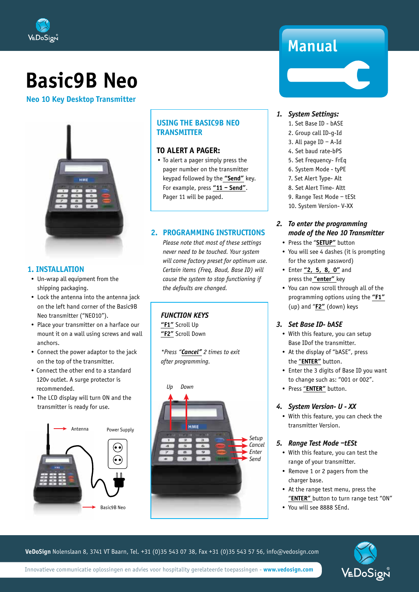

# **Basic9B Neo**

**Neo 10 Key Desktop Transmitter**



#### **1. INSTALLATION**

- Un-wrap all equipment from the shipping packaging.
- Lock the antenna into the antenna jack on the left hand corner of the Basic9B Neo transmitter ("NEO10").
- Place your transmitter on a harface our mount it on a wall using screws and wall anchors.
- Connect the power adaptor to the jack on the top of the transmitter.
- Connect the other end to a standard 120v outlet. A surge protector is recommended.
- The LCD display will turn ON and the transmitter is ready for use.



#### **USING THE BASIC9B NEO TRANSMITTER**

#### **TO ALERT A PAGER:**

• To alert a pager simply press the pager number on the transmitter keypad followed by the **"Send"** key. For example, press **"11 – Send"**. Pager 11 will be paged.

#### **2. PROGRAMMING INSTRUCTIONS**

*Please note that most of these settings never need to be touched. Your system will come factory preset for optimum use. Certain items (Freq, Baud, Base ID) will cause the system to stop functioning if the defaults are changed.* 

#### *FUNCTION KEYS*

**"F1"** Scroll Up **"F2"** Scroll Down

*\*Press "Cancel" 2 times to exit after programming.*



## **Manual**

#### *1. System Settings:*

- 1. Set Base ID bASE
- 2. Group call ID-g-Id
- 3. All page ID A-Id
- 4. Set baud rate-bPS
- 5. Set Frequency- FrEq
- 6. System Mode tyPE
- 7. Set Alert Type- Alt
- 8. Set Alert Time- Altt
- 9. Range Test Mode tESt
- 10. System Version- V-XX

#### *2. To enter the programming mode of the Neo 10 Transmitter*

- Press the "**SETUP"** button
- You will see 4 dashes (it is prompting for the system password)
- Enter **"2, 5, 8, 0"** and press the **"enter"** key
- You can now scroll through all of the programming options using the **"F1"** (up) and "**F2"** (down) keys

#### *3. Set Base ID- bASE*

- With this feature, you can setup Base IDof the transmitter.
- At the display of "bASE", press the "**ENTER"** button.
- Enter the 3 digits of Base ID you want to change such as: "001 or 002".
- Press "**ENTER"** button.

#### *4. System Version- U - XX*

• With this feature, you can check the transmitter Version.

#### *5. Range Test Mode –tESt*

- With this feature, you can test the range of your transmitter.
- Remove 1 or 2 pagers from the charger base.
- At the range test menu, press the "**ENTER"** button to turn range test "ON"
- You will see 8888 SEnd.

**VeDoSign** Nolenslaan 8, 3741 VT Baarn, Tel. +31 (0)35 543 07 38, Fax +31 (0)35 543 57 56, info@vedosign.com